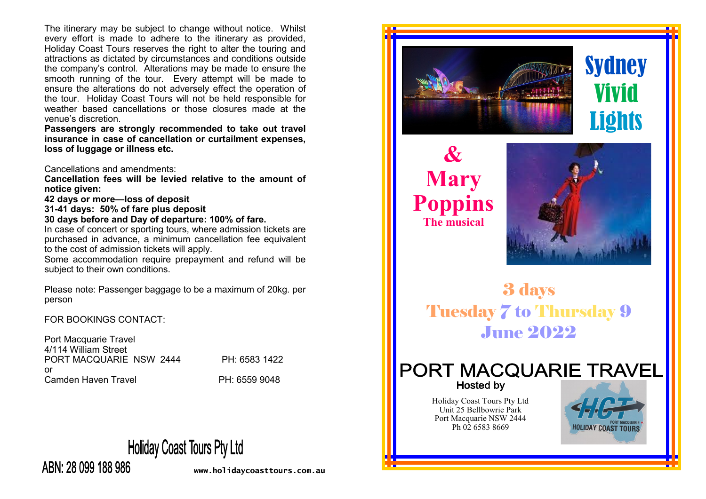The itinerary may be subject to change without notice. Whilst every effort is made to adhere to the itinerary as provided, Holiday Coast Tours reserves the right to alter the touring and attractions as dictated by circumstances and conditions outside the company's control. Alterations may be made to ensure the smooth running of the tour. Every attempt will be made to ensure the alterations do not adversely effect the operation of the tour. Holiday Coast Tours will not be held responsible for weather based cancellations or those closures made at the venue's discretion.

**Passengers are strongly recommended to take out travel insurance in case of cancellation or curtailment expenses, loss of luggage or illness etc.** 

Cancellations and amendments:

**Cancellation fees will be levied relative to the amount of notice given:**

**42 days or more—loss of deposit**

**31-41 days: 50% of fare plus deposit**

**30 days before and Day of departure: 100% of fare.**

In case of concert or sporting tours, where admission tickets are purchased in advance, a minimum cancellation fee equivalent to the cost of admission tickets will apply.

Some accommodation require prepayment and refund will be subject to their own conditions.

Please note: Passenger baggage to be a maximum of 20kg. per person

FOR BOOKINGS CONTACT:

Port Macquarie Travel 4/114 William Street PORT MACQUARIE NSW 2444 PH: 6583 1422 or Camden Haven Travel **PH: 6559 9048** 

**Holiday Coast Tours Pty Ltd** 



**www.holidaycoasttours.com.au**